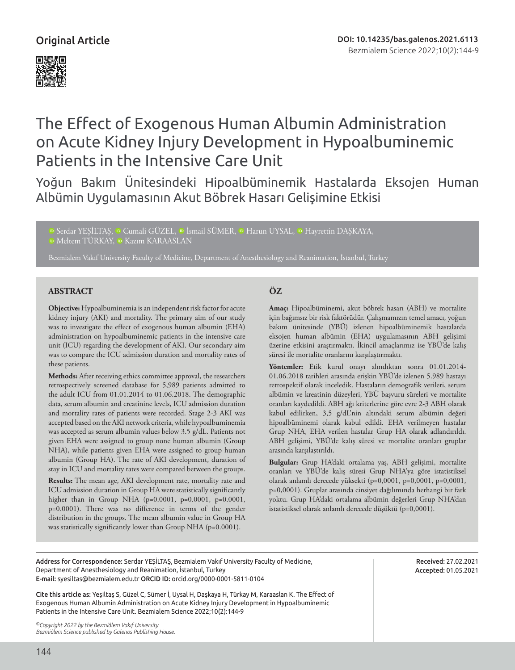

# The Effect of Exogenous Human Albumin Administration on Acute Kidney Injury Development in Hypoalbuminemic Patients in the Intensive Care Unit

Yoğun Bakım Ünitesindeki Hipoalbüminemik Hastalarda Eksojen Human Albümin Uygulamasının Akut Böbrek Hasarı Gelişimine Etkisi

**■ [S](https://orcid.org/0000-0001-5811-0104)erdarYESİLTAS, ■ Cumali GÜZEL, ■ İsmail SÜMER, ■ Harun UYSAL, ■ Hayrettin DASKAYA,** 

<sup>iD</sup> [M](https://orcid.org/0000-0002-6343-8224)eltemTÜRKAY, <sup>iD</sup> Kazım KARAASLAN

Bezmialem Vakıf University Faculty of Medicine, Department of Anesthesiology and Reanimation, İstanbul, Turkey

# **ABSTRACT ÖZ**

**Objective:** Hypoalbuminemia is an independent risk factor for acute kidney injury (AKI) and mortality. The primary aim of our study was to investigate the effect of exogenous human albumin (EHA) administration on hypoalbuminemic patients in the intensive care unit (ICU) regarding the development of AKI. Our secondary aim was to compare the ICU admission duration and mortality rates of these patients.

**Methods:** After receiving ethics committee approval, the researchers retrospectively screened database for 5,989 patients admitted to the adult ICU from 01.01.2014 to 01.06.2018. The demographic data, serum albumin and creatinine levels, ICU admission duration and mortality rates of patients were recorded. Stage 2-3 AKI was accepted based on the AKI network criteria, while hypoalbuminemia was accepted as serum albumin values below 3.5 g/dL. Patients not given EHA were assigned to group none human albumin (Group NHA), while patients given EHA were assigned to group human albumin (Group HA). The rate of AKI development, duration of stay in ICU and mortality rates were compared between the groups.

**Results:** The mean age, AKI development rate, mortality rate and ICU admission duration in Group HA were statistically significantly higher than in Group NHA (p=0.0001, p=0.0001, p=0.0001, p=0.0001). There was no difference in terms of the gender distribution in the groups. The mean albumin value in Group HA was statistically significantly lower than Group NHA (p=0.0001).

**Amaç:** Hipoalbüminemi, akut böbrek hasarı (ABH) ve mortalite için bağımsız bir risk faktörüdür. Çalışmamızın temel amacı, yoğun bakım ünitesinde (YBÜ) izlenen hipoalbüminemik hastalarda eksojen human albümin (EHA) uygulamasının ABH gelişimi üzerine etkisini araştırmaktı. İkincil amaçlarımız ise YBÜ'de kalış süresi ile mortalite oranlarını karşılaştırmaktı.

**Yöntemler:** Etik kurul onayı alındıktan sonra 01.01.2014- 01.06.2018 tarihleri arasında erişkin YBÜ'de izlenen 5.989 hastayı retrospektif olarak inceledik. Hastaların demografik verileri, serum albümin ve kreatinin düzeyleri, YBÜ başvuru süreleri ve mortalite oranları kaydedildi. ABH ağı kriterlerine göre evre 2-3 ABH olarak kabul edilirken, 3,5 g/dL'nin altındaki serum albümin değeri hipoalbüminemi olarak kabul edildi. EHA verilmeyen hastalar Grup NHA, EHA verilen hastalar Grup HA olarak adlandırıldı. ABH gelişimi, YBÜ'de kalış süresi ve mortalite oranları gruplar arasında karşılaştırıldı.

**Bulgular:** Grup HA'daki ortalama yaş, ABH gelişimi, mortalite oranları ve YBÜ'de kalış süresi Grup NHA'ya göre istatistiksel olarak anlamlı derecede yüksekti (p=0,0001, p=0,0001, p=0,0001, p=0,0001). Gruplar arasında cinsiyet dağılımında herhangi bir fark yoktu. Grup HA'daki ortalama albümin değerleri Grup NHA'dan istatistiksel olarak anlamlı derecede düşüktü (p=0,0001).

Address for Correspondence: Serdar YEŞİLTAŞ, Bezmialem Vakıf University Faculty of Medicine, Department of Anesthesiology and Reanimation, İstanbul, Turkey E-mail: syesiltas@bezmialem.edu.tr ORCID ID: orcid.org/0000-0001-5811-0104

Cite this article as: Yeşiltaş S, Güzel C, Sümer İ, Uysal H, Daşkaya H, Türkay M, Karaaslan K. The Effect of Exogenous Human Albumin Administration on Acute Kidney Injury Development in Hypoalbuminemic Patients in the Intensive Care Unit. Bezmialem Science 2022;10(2):144-9

*©Copyright 2022 by the Bezmiâlem Vakıf University Bezmiâlem Science published by Galenos Publishing House.* Received: 27.02.2021 Accepted: 01.05.2021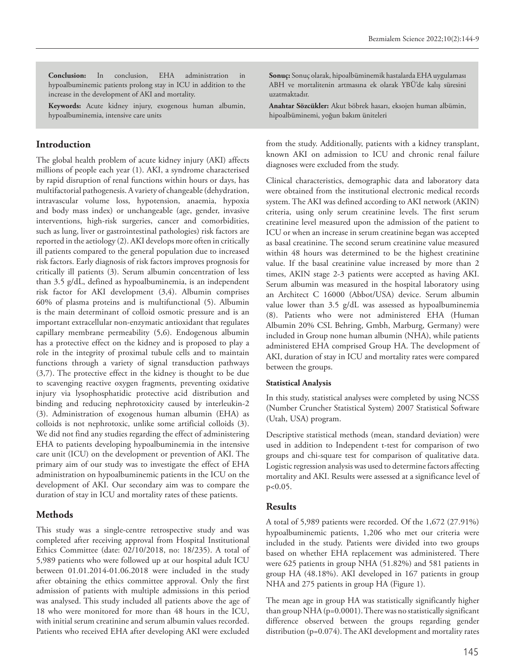**Conclusion:** In conclusion, EHA administration in hypoalbuminemic patients prolong stay in ICU in addition to the increase in the development of AKI and mortality.

**Keywords:** Acute kidney injury, exogenous human albumin, hypoalbuminemia, intensive care units

## **Introduction**

The global health problem of acute kidney injury (AKI) affects millions of people each year (1). AKI, a syndrome characterised by rapid disruption of renal functions within hours or days, has multifactorial pathogenesis. A variety of changeable (dehydration, intravascular volume loss, hypotension, anaemia, hypoxia and body mass index) or unchangeable (age, gender, invasive interventions, high-risk surgeries, cancer and comorbidities, such as lung, liver or gastrointestinal pathologies) risk factors are reported in the aetiology (2). AKI develops more often in critically ill patients compared to the general population due to increased risk factors. Early diagnosis of risk factors improves prognosis for critically ill patients (3). Serum albumin concentration of less than 3.5 g/dL, defined as hypoalbuminemia, is an independent risk factor for AKI development (3,4). Albumin comprises 60% of plasma proteins and is multifunctional (5). Albumin is the main determinant of colloid osmotic pressure and is an important extracellular non-enzymatic antioxidant that regulates capillary membrane permeability (5,6). Endogenous albumin has a protective effect on the kidney and is proposed to play a role in the integrity of proximal tubule cells and to maintain functions through a variety of signal transduction pathways (3,7). The protective effect in the kidney is thought to be due to scavenging reactive oxygen fragments, preventing oxidative injury via lysophosphatidic protective acid distribution and binding and reducing nephrotoxicity caused by interleukin-2 (3). Administration of exogenous human albumin (EHA) as colloids is not nephrotoxic, unlike some artificial colloids (3). We did not find any studies regarding the effect of administering EHA to patients developing hypoalbuminemia in the intensive care unit (ICU) on the development or prevention of AKI. The primary aim of our study was to investigate the effect of EHA administration on hypoalbuminemic patients in the ICU on the development of AKI. Our secondary aim was to compare the duration of stay in ICU and mortality rates of these patients.

### **Methods**

This study was a single-centre retrospective study and was completed after receiving approval from Hospital Institutional Ethics Committee (date: 02/10/2018, no: 18/235). A total of 5,989 patients who were followed up at our hospital adult ICU between 01.01.2014-01.06.2018 were included in the study after obtaining the ethics committee approval. Only the first admission of patients with multiple admissions in this period was analysed. This study included all patients above the age of 18 who were monitored for more than 48 hours in the ICU, with initial serum creatinine and serum albumin values recorded. Patients who received EHA after developing AKI were excluded

**Sonuç:** Sonuç olarak, hipoalbüminemik hastalarda EHA uygulaması ABH ve mortalitenin artmasına ek olarak YBÜ'de kalış süresini uzatmaktadır.

**Anahtar Sözcükler:** Akut böbrek hasarı, eksojen human albümin, hipoalbüminemi, yoğun bakım üniteleri

from the study. Additionally, patients with a kidney transplant, known AKI on admission to ICU and chronic renal failure diagnoses were excluded from the study.

Clinical characteristics, demographic data and laboratory data were obtained from the institutional electronic medical records system. The AKI was defined according to AKI network (AKIN) criteria, using only serum creatinine levels. The first serum creatinine level measured upon the admission of the patient to ICU or when an increase in serum creatinine began was accepted as basal creatinine. The second serum creatinine value measured within 48 hours was determined to be the highest creatinine value. If the basal creatinine value increased by more than 2 times, AKIN stage 2-3 patients were accepted as having AKI. Serum albumin was measured in the hospital laboratory using an Architect C 16000 (Abbot/USA) device. Serum albumin value lower than 3.5 g/dL was assessed as hypoalbuminemia (8). Patients who were not administered EHA (Human Albumin 20% CSL Behring, Gmbh, Marburg, Germany) were included in Group none human albumin (NHA), while patients administered EHA comprised Group HA. The development of AKI, duration of stay in ICU and mortality rates were compared between the groups.

#### **Statistical Analysis**

In this study, statistical analyses were completed by using NCSS (Number Cruncher Statistical System) 2007 Statistical Software (Utah, USA) program.

Descriptive statistical methods (mean, standard deviation) were used in addition to Independent t-test for comparison of two groups and chi-square test for comparison of qualitative data. Logistic regression analysis was used to determine factors affecting mortality and AKI. Results were assessed at a significance level of p<0.05.

#### **Results**

A total of 5,989 patients were recorded. Of the 1,672 (27.91%) hypoalbuminemic patients, 1,206 who met our criteria were included in the study. Patients were divided into two groups based on whether EHA replacement was administered. There were 625 patients in group NHA (51.82%) and 581 patients in group HA (48.18%). AKI developed in 167 patients in group NHA and 275 patients in group HA (Figure 1).

The mean age in group HA was statistically significantly higher than group NHA (p=0.0001). There was no statistically significant difference observed between the groups regarding gender distribution (p=0.074). The AKI development and mortality rates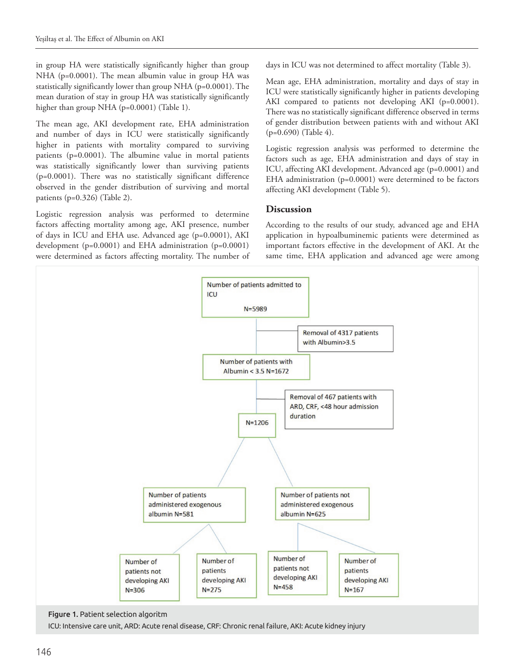in group HA were statistically significantly higher than group NHA (p=0.0001). The mean albumin value in group HA was statistically significantly lower than group NHA (p=0.0001). The mean duration of stay in group HA was statistically significantly higher than group NHA (p=0.0001) (Table 1).

The mean age, AKI development rate, EHA administration and number of days in ICU were statistically significantly higher in patients with mortality compared to surviving patients (p=0.0001). The albumine value in mortal patients was statistically significantly lower than surviving patients (p=0.0001). There was no statistically significant difference observed in the gender distribution of surviving and mortal patients (p=0.326) (Table 2).

Logistic regression analysis was performed to determine factors affecting mortality among age, AKI presence, number of days in ICU and EHA use. Advanced age (p=0.0001), AKI development (p=0.0001) and EHA administration (p=0.0001) were determined as factors affecting mortality. The number of days in ICU was not determined to affect mortality (Table 3).

Mean age, EHA administration, mortality and days of stay in ICU were statistically significantly higher in patients developing AKI compared to patients not developing AKI (p=0.0001). There was no statistically significant difference observed in terms of gender distribution between patients with and without AKI (p=0.690) (Table 4).

Logistic regression analysis was performed to determine the factors such as age, EHA administration and days of stay in ICU, affecting AKI development. Advanced age (p=0.0001) and EHA administration (p=0.0001) were determined to be factors affecting AKI development (Table 5).

# **Discussion**

According to the results of our study, advanced age and EHA application in hypoalbuminemic patients were determined as important factors effective in the development of AKI. At the same time, EHA application and advanced age were among



Figure 1. Patient selection algoritm

ICU: Intensive care unit, ARD: Acute renal disease, CRF: Chronic renal failure, AKI: Acute kidney injury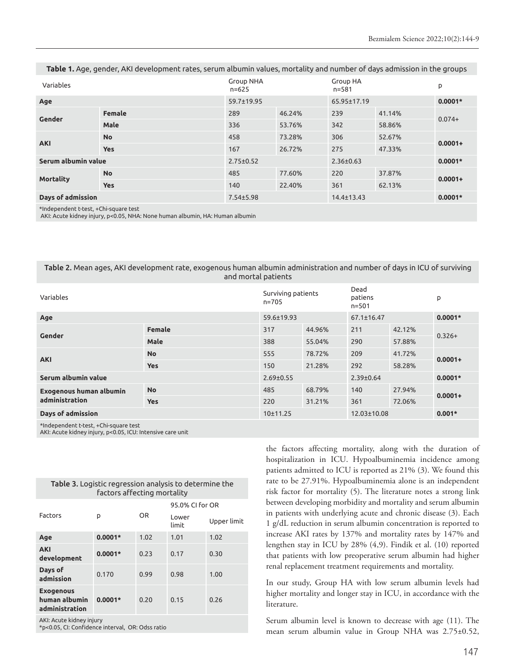| Table 1. Age, gender, AKI development rates, serum albumin values, mortality and number of days admission in the groups |  |  |  |
|-------------------------------------------------------------------------------------------------------------------------|--|--|--|
|-------------------------------------------------------------------------------------------------------------------------|--|--|--|

| Variables           |            | <b>Group NHA</b><br>$n = 625$ |             | <b>Group HA</b><br>$n = 581$ |           | p          |  |
|---------------------|------------|-------------------------------|-------------|------------------------------|-----------|------------|--|
| 59.7±19.95<br>Age   |            |                               | 65.95±17.19 |                              | $0.0001*$ |            |  |
| Gender              | Female     | 289                           | 46.24%      | 239                          | 41.14%    |            |  |
|                     | Male       | 336                           | 53.76%      | 342                          | 58.86%    | $0.074+$   |  |
| <b>AKI</b>          | <b>No</b>  | 458                           | 73.28%      | 306                          | 52.67%    | $0.0001 +$ |  |
|                     | <b>Yes</b> | 167                           | 26.72%      | 275                          | 47.33%    |            |  |
| Serum albumin value |            | $2.75 \pm 0.52$               |             | $2.36 \pm 0.63$              |           | $0.0001*$  |  |
| <b>Mortality</b>    | <b>No</b>  | 485                           | 77.60%      | 220                          | 37.87%    | $0.0001 +$ |  |
|                     | <b>Yes</b> | 140                           | 22.40%      | 361                          | 62.13%    |            |  |
| Days of admission   |            | $7.54 \pm 5.98$               |             | 14.4±13.43                   |           | $0.0001*$  |  |

\*Independent t-test, +Chi-square test

AKI: Acute kidney injury, p<0.05, NHA: None human albumin, HA: Human albumin

#### Table 2. Mean ages, AKI development rate, exogenous human albumin administration and number of days in ICU of surviving and mortal patients

| Variables                                        |               | Surviving patients<br>$n = 705$ |        | Dead<br>patiens<br>$n = 501$ |        | p          |
|--------------------------------------------------|---------------|---------------------------------|--------|------------------------------|--------|------------|
| Age                                              |               | $59.6 \pm 19.93$                |        | $67.1 \pm 16.47$             |        | $0.0001*$  |
| Gender                                           | <b>Female</b> | 317                             | 44.96% | 211                          | 42.12% | $0.326+$   |
|                                                  | <b>Male</b>   | 388                             | 55.04% | 290                          | 57.88% |            |
| <b>AKI</b>                                       | <b>No</b>     | 555                             | 78.72% | 209                          | 41.72% | $0.0001 +$ |
|                                                  | <b>Yes</b>    | 150                             | 21.28% | 292                          | 58.28% |            |
| Serum albumin value                              |               | $2.69 \pm 0.55$                 |        | $2.39 \pm 0.64$              |        | $0.0001*$  |
| <b>Exogenous human albumin</b><br>administration | <b>No</b>     | 485                             | 68.79% | 140                          | 27.94% |            |
|                                                  | <b>Yes</b>    | 220                             | 31.21% | 361                          | 72.06% | $0.0001 +$ |
| Days of admission                                |               | 10±11.25                        |        | 12.03±10.08                  |        | $0.001*$   |

\*Independent t-test, +Chi-square test

AKI: Acute kidney injury, p<0.05, ICU: Intensive care unit

|                                                     | ractors arrecting mortality |           |                 |             |  |  |
|-----------------------------------------------------|-----------------------------|-----------|-----------------|-------------|--|--|
|                                                     |                             |           | 95.0% CI for OR |             |  |  |
| Factors                                             | p                           | <b>OR</b> | Lower<br>limit  | Upper limit |  |  |
| Age                                                 | $0.0001*$                   | 1.02      | 1.01            | 1.02        |  |  |
| <b>AKI</b><br>development                           | $0.0001*$                   | 0.23      | 0.17            | 0.30        |  |  |
| Days of<br>admission                                | 0.170                       | 0.99      | 0.98            | 1.00        |  |  |
| <b>Exogenous</b><br>human albumin<br>administration | $0.0001*$                   | 0.20      | 0.15            | 0.26        |  |  |
| AKI: Acute kidney injury                            |                             |           |                 |             |  |  |

Table 3. Logistic regression analysis to determine the factors affecting mortality

\*p<0.05, CI: Confidence interval, OR: Odss ratio

the factors affecting mortality, along with the duration of hospitalization in ICU. Hypoalbuminemia incidence among patients admitted to ICU is reported as 21% (3). We found this rate to be 27.91%. Hypoalbuminemia alone is an independent risk factor for mortality (5). The literature notes a strong link between developing morbidity and mortality and serum albumin in patients with underlying acute and chronic disease (3). Each 1 g/dL reduction in serum albumin concentration is reported to increase AKI rates by 137% and mortality rates by 147% and lengthen stay in ICU by 28% (4,9). Findik et al. (10) reported that patients with low preoperative serum albumin had higher renal replacement treatment requirements and mortality.

In our study, Group HA with low serum albumin levels had higher mortality and longer stay in ICU, in accordance with the literature.

Serum albumin level is known to decrease with age (11). The mean serum albumin value in Group NHA was 2.75±0.52,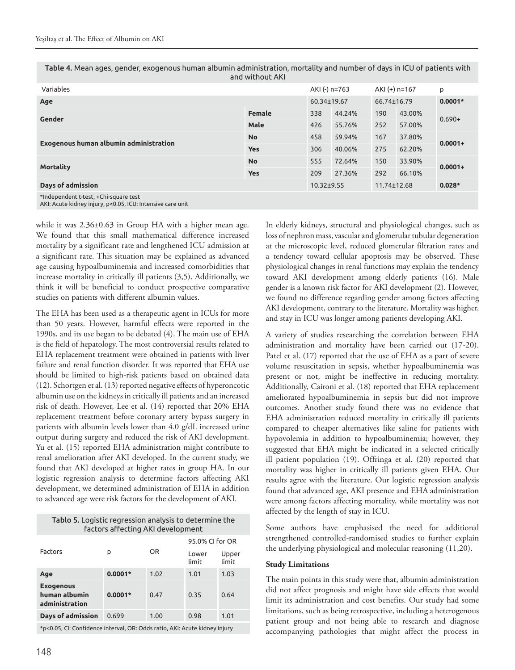| Table 4. Mean ages, gender, exogenous human albumin administration, mortality and number of days in ICU of patients with |
|--------------------------------------------------------------------------------------------------------------------------|
| and without AKI                                                                                                          |

| Variables                                                    |               | AKI (-) n=763    |        | AKI (+) n=167 |        | p          |
|--------------------------------------------------------------|---------------|------------------|--------|---------------|--------|------------|
| Age                                                          |               | 60.34±19.67      |        | 66.74±16.79   |        | $0.0001*$  |
| Gender                                                       | <b>Female</b> | 338              | 44.24% | 190           | 43.00% | $0.690+$   |
|                                                              | Male          | 426              | 55.76% | 252           | 57.00% |            |
| Exogenous human albumin administration                       | <b>No</b>     | 458              | 59.94% | 167           | 37.80% | $0.0001 +$ |
|                                                              | <b>Yes</b>    | 306              | 40.06% | 275           | 62.20% |            |
|                                                              | <b>No</b>     | 555              | 72.64% | 150           | 33.90% | $0.0001 +$ |
| <b>Mortality</b>                                             | <b>Yes</b>    | 209              | 27.36% | 292           | 66.10% |            |
| Days of admission                                            |               | $10.32 \pm 9.55$ |        | 11.74±12.68   |        | $0.028*$   |
| standard and a state that the control of the company to star |               |                  |        |               |        |            |

\*Independent t-test, +Chi-square test AKI: Acute kidney injury, p<0.05, ICU: Intensive care unit

while it was 2.36±0.63 in Group HA with a higher mean age. We found that this small mathematical difference increased mortality by a significant rate and lengthened ICU admission at a significant rate. This situation may be explained as advanced age causing hypoalbuminemia and increased comorbidities that increase mortality in critically ill patients (3,5). Additionally, we think it will be beneficial to conduct prospective comparative studies on patients with different albumin values.

The EHA has been used as a therapeutic agent in ICUs for more than 50 years. However, harmful effects were reported in the 1990s, and its use began to be debated (4). The main use of EHA is the field of hepatology. The most controversial results related to EHA replacement treatment were obtained in patients with liver failure and renal function disorder. It was reported that EHA use should be limited to high-risk patients based on obtained data (12). Schortgen et al. (13) reported negative effects of hyperoncotic albumin use on the kidneys in critically ill patients and an increased risk of death. However, Lee et al. (14) reported that 20% EHA replacement treatment before coronary artery bypass surgery in patients with albumin levels lower than 4.0 g/dL increased urine output during surgery and reduced the risk of AKI development. Yu et al. (15) reported EHA administration might contribute to renal amelioration after AKI developed. In the current study, we found that AKI developed at higher rates in group HA. In our logistic regression analysis to determine factors affecting AKI development, we determined administration of EHA in addition to advanced age were risk factors for the development of AKI.

| Tablo 5. Logistic regression analysis to determine the<br>factors affecting AKI development |           |           |                 |                |  |  |  |
|---------------------------------------------------------------------------------------------|-----------|-----------|-----------------|----------------|--|--|--|
|                                                                                             |           | <b>OR</b> | 95.0% CI for OR |                |  |  |  |
| Factors<br>p                                                                                |           |           | Lower<br>limit  | Upper<br>limit |  |  |  |
| Age                                                                                         | $0.0001*$ | 1.02      | 1.01            | 1.03           |  |  |  |
| <b>Exogenous</b><br>human albumin<br>administration                                         | $0.0001*$ | 0.47      | 0.35            | 0.64           |  |  |  |
| Days of admission                                                                           | 0.699     | 1.00      | 0.98            | 1.01           |  |  |  |
| $\cdots$ . The set of the set of the set of $\cdots$ is the set of $\cdots$                 |           |           |                 |                |  |  |  |

\*p<0.05, CI: Confidence interval, OR: Odds ratio, AKI: Acute kidney injury

In elderly kidneys, structural and physiological changes, such as loss of nephron mass, vascular and glomerular tubular degeneration at the microscopic level, reduced glomerular filtration rates and a tendency toward cellular apoptosis may be observed. These physiological changes in renal functions may explain the tendency toward AKI development among elderly patients (16). Male gender is a known risk factor for AKI development (2). However, we found no difference regarding gender among factors affecting AKI development, contrary to the literature. Mortality was higher, and stay in ICU was longer among patients developing AKI.

A variety of studies researching the correlation between EHA administration and mortality have been carried out (17-20). Patel et al. (17) reported that the use of EHA as a part of severe volume resuscitation in sepsis, whether hypoalbuminemia was present or not, might be ineffective in reducing mortality. Additionally, Caironi et al. (18) reported that EHA replacement ameliorated hypoalbuminemia in sepsis but did not improve outcomes. Another study found there was no evidence that EHA administration reduced mortality in critically ill patients compared to cheaper alternatives like saline for patients with hypovolemia in addition to hypoalbuminemia; however, they suggested that EHA might be indicated in a selected critically ill patient population (19). Offringa et al. (20) reported that mortality was higher in critically ill patients given EHA. Our results agree with the literature. Our logistic regression analysis found that advanced age, AKI presence and EHA administration were among factors affecting mortality, while mortality was not affected by the length of stay in ICU.

Some authors have emphasised the need for additional strengthened controlled-randomised studies to further explain the underlying physiological and molecular reasoning (11,20).

#### **Study Limitations**

The main points in this study were that, albumin administration did not affect prognosis and might have side effects that would limit its administration and cost benefits. Our study had some limitations, such as being retrospective, including a heterogenous patient group and not being able to research and diagnose accompanying pathologies that might affect the process in